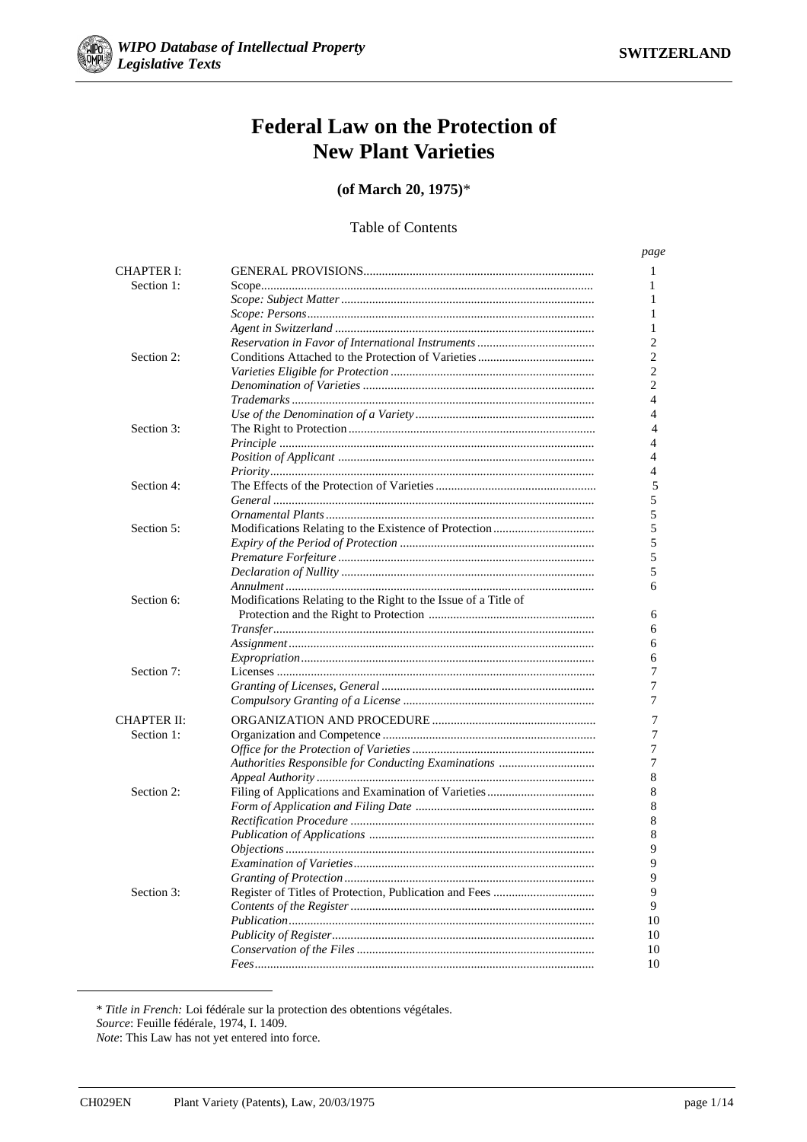

# **Federal Law on the Protection of New Plant Varieties**

(of March 20, 1975)\*

# **Table of Contents**

page **CHAPTER I:** 1 Section 1:  $\mathbf{1}$ 1  $\mathbf{1}$  $\mathbf{1}$  $\overline{c}$  $\overline{c}$ Section 2:  $\overline{c}$  $\overline{2}$  $\overline{4}$ *Trademarks*  $\overline{4}$  $S<sub>action</sub>$  3.  $\overline{4}$  $\overline{\mathcal{L}}$  $\overline{4}$  $\overline{4}$ 5 Section 4:  $\overline{5}$ 5 Section 5: 5 5  $\overline{5}$ 5 6 Section 6: Modifications Relating to the Right to the Issue of a Title of 6 6 6 6 Section  $7<sup>1</sup>$  $\overline{7}$  $\overline{7}$ 7 **CHAPTER II:**  $\overline{7}$ Section 1:  $\overline{7}$  $\overline{7}$  $\overline{7}$ Authorities Responsible for Conducting Examinations ................................... 8 Section 2: 8 8 8 8  $\overline{Q}$ 9 9 Section 3:  $\overline{Q}$  $\overline{Q}$ 10 10 10 10

\* Title in French: Loi fédérale sur la protection des obtentions végétales.

Source: Feuille fédérale, 1974, I. 1409.

Note: This Law has not yet entered into force.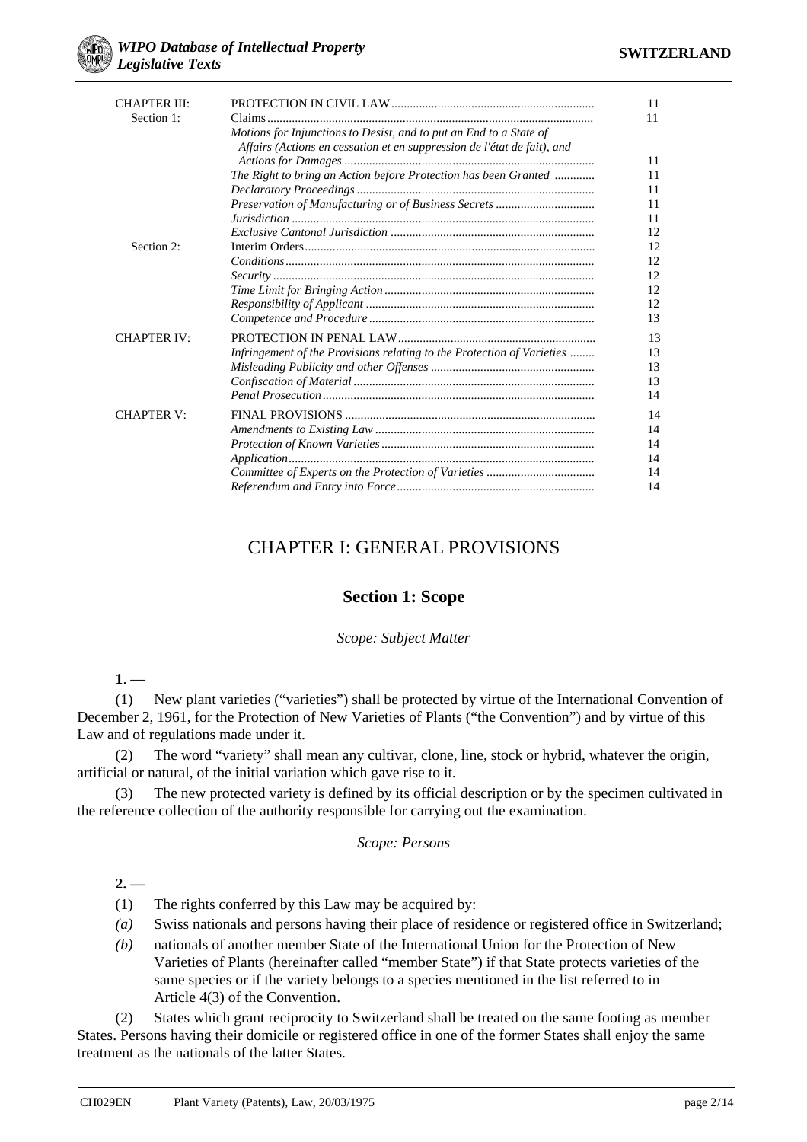| <b>CHAPTER III:</b> |                                                                         | 11 |
|---------------------|-------------------------------------------------------------------------|----|
| Section 1:          |                                                                         | 11 |
|                     | Motions for Injunctions to Desist, and to put an End to a State of      |    |
|                     | Affairs (Actions en cessation et en suppression de l'état de fait), and |    |
|                     |                                                                         | 11 |
|                     | The Right to bring an Action before Protection has been Granted         | 11 |
|                     |                                                                         | 11 |
|                     | Preservation of Manufacturing or of Business Secrets                    | 11 |
|                     |                                                                         | 11 |
|                     |                                                                         | 12 |
| Section 2:          |                                                                         | 12 |
|                     | $Conditions \dots 1$                                                    | 12 |
|                     |                                                                         | 12 |
|                     |                                                                         | 12 |
|                     |                                                                         | 12 |
|                     |                                                                         | 13 |
| <b>CHAPTER IV:</b>  |                                                                         | 13 |
|                     | Infringement of the Provisions relating to the Protection of Varieties  | 13 |
|                     |                                                                         | 13 |
|                     |                                                                         | 13 |
|                     |                                                                         | 14 |
| <b>CHAPTER V:</b>   |                                                                         | 14 |
|                     |                                                                         | 14 |
|                     |                                                                         | 14 |
|                     |                                                                         | 14 |
|                     |                                                                         | 14 |
|                     |                                                                         | 14 |

# CHAPTER I: GENERAL PROVISIONS

# **Section 1: Scope**

# *Scope: Subject Matter*

**1**. —

(1) New plant varieties ("varieties") shall be protected by virtue of the International Convention of December 2, 1961, for the Protection of New Varieties of Plants ("the Convention") and by virtue of this Law and of regulations made under it.

(2) The word "variety" shall mean any cultivar, clone, line, stock or hybrid, whatever the origin, artificial or natural, of the initial variation which gave rise to it.

(3) The new protected variety is defined by its official description or by the specimen cultivated in the reference collection of the authority responsible for carrying out the examination.

#### *Scope: Persons*

**2. —**

(1) The rights conferred by this Law may be acquired by:

- *(a)* Swiss nationals and persons having their place of residence or registered office in Switzerland;
- *(b)* nationals of another member State of the International Union for the Protection of New Varieties of Plants (hereinafter called "member State") if that State protects varieties of the same species or if the variety belongs to a species mentioned in the list referred to in Article 4(3) of the Convention.

(2) States which grant reciprocity to Switzerland shall be treated on the same footing as member States. Persons having their domicile or registered office in one of the former States shall enjoy the same treatment as the nationals of the latter States.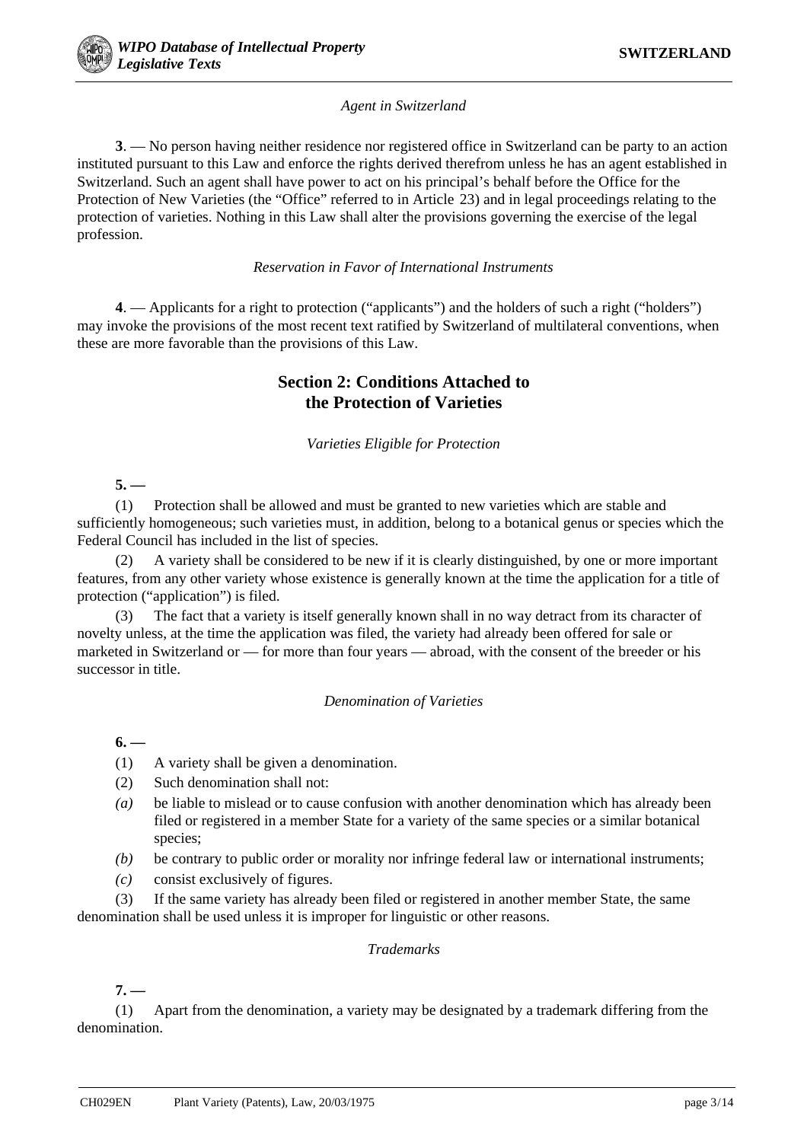# *Agent in Switzerland*

**3**. — No person having neither residence nor registered office in Switzerland can be party to an action instituted pursuant to this Law and enforce the rights derived therefrom unless he has an agent established in Switzerland. Such an agent shall have power to act on his principal's behalf before the Office for the Protection of New Varieties (the "Office" referred to in Article 23) and in legal proceedings relating to the protection of varieties. Nothing in this Law shall alter the provisions governing the exercise of the legal profession.

# *Reservation in Favor of International Instruments*

**4**. — Applicants for a right to protection ("applicants") and the holders of such a right ("holders") may invoke the provisions of the most recent text ratified by Switzerland of multilateral conventions, when these are more favorable than the provisions of this Law.

# **Section 2: Conditions Attached to the Protection of Varieties**

*Varieties Eligible for Protection*

**5. —**

(1) Protection shall be allowed and must be granted to new varieties which are stable and sufficiently homogeneous; such varieties must, in addition, belong to a botanical genus or species which the Federal Council has included in the list of species.

(2) A variety shall be considered to be new if it is clearly distinguished, by one or more important features, from any other variety whose existence is generally known at the time the application for a title of protection ("application") is filed.

The fact that a variety is itself generally known shall in no way detract from its character of novelty unless, at the time the application was filed, the variety had already been offered for sale or marketed in Switzerland or — for more than four years — abroad, with the consent of the breeder or his successor in title.

# *Denomination of Varieties*

**6. —**

- (1) A variety shall be given a denomination.
- (2) Such denomination shall not:
- *(a)* be liable to mislead or to cause confusion with another denomination which has already been filed or registered in a member State for a variety of the same species or a similar botanical species;
- *(b)* be contrary to public order or morality nor infringe federal law or international instruments;
- *(c)* consist exclusively of figures.

(3) If the same variety has already been filed or registered in another member State, the same denomination shall be used unless it is improper for linguistic or other reasons.

# *Trademarks*

**7. —**

(1) Apart from the denomination, a variety may be designated by a trademark differing from the denomination.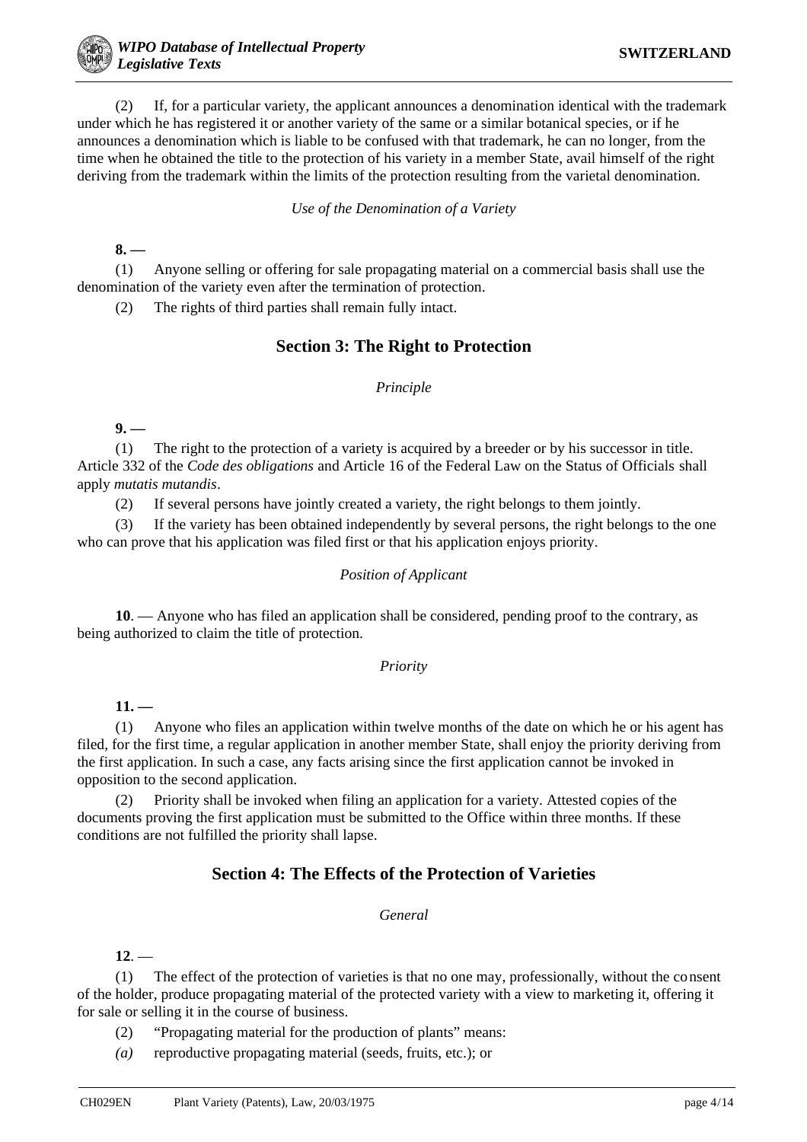(2) If, for a particular variety, the applicant announces a denomination identical with the trademark under which he has registered it or another variety of the same or a similar botanical species, or if he announces a denomination which is liable to be confused with that trademark, he can no longer, from the time when he obtained the title to the protection of his variety in a member State, avail himself of the right deriving from the trademark within the limits of the protection resulting from the varietal denomination.

*Use of the Denomination of a Variety*

**8. —**

(1) Anyone selling or offering for sale propagating material on a commercial basis shall use the denomination of the variety even after the termination of protection.

(2) The rights of third parties shall remain fully intact.

# **Section 3: The Right to Protection**

#### *Principle*

**9. —**

(1) The right to the protection of a variety is acquired by a breeder or by his successor in title. Article 332 of the *Code des obligations* and Article 16 of the Federal Law on the Status of Officials shall apply *mutatis mutandis*.

(2) If several persons have jointly created a variety, the right belongs to them jointly.

(3) If the variety has been obtained independently by several persons, the right belongs to the one who can prove that his application was filed first or that his application enjoys priority.

#### *Position of Applicant*

**10**. — Anyone who has filed an application shall be considered, pending proof to the contrary, as being authorized to claim the title of protection.

#### *Priority*

**11. —**

(1) Anyone who files an application within twelve months of the date on which he or his agent has filed, for the first time, a regular application in another member State, shall enjoy the priority deriving from the first application. In such a case, any facts arising since the first application cannot be invoked in opposition to the second application.

(2) Priority shall be invoked when filing an application for a variety. Attested copies of the documents proving the first application must be submitted to the Office within three months. If these conditions are not fulfilled the priority shall lapse.

# **Section 4: The Effects of the Protection of Varieties**

#### *General*

 $12. -$ 

(1) The effect of the protection of varieties is that no one may, professionally, without the consent of the holder, produce propagating material of the protected variety with a view to marketing it, offering it for sale or selling it in the course of business.

(2) "Propagating material for the production of plants" means:

*(a)* reproductive propagating material (seeds, fruits, etc.); or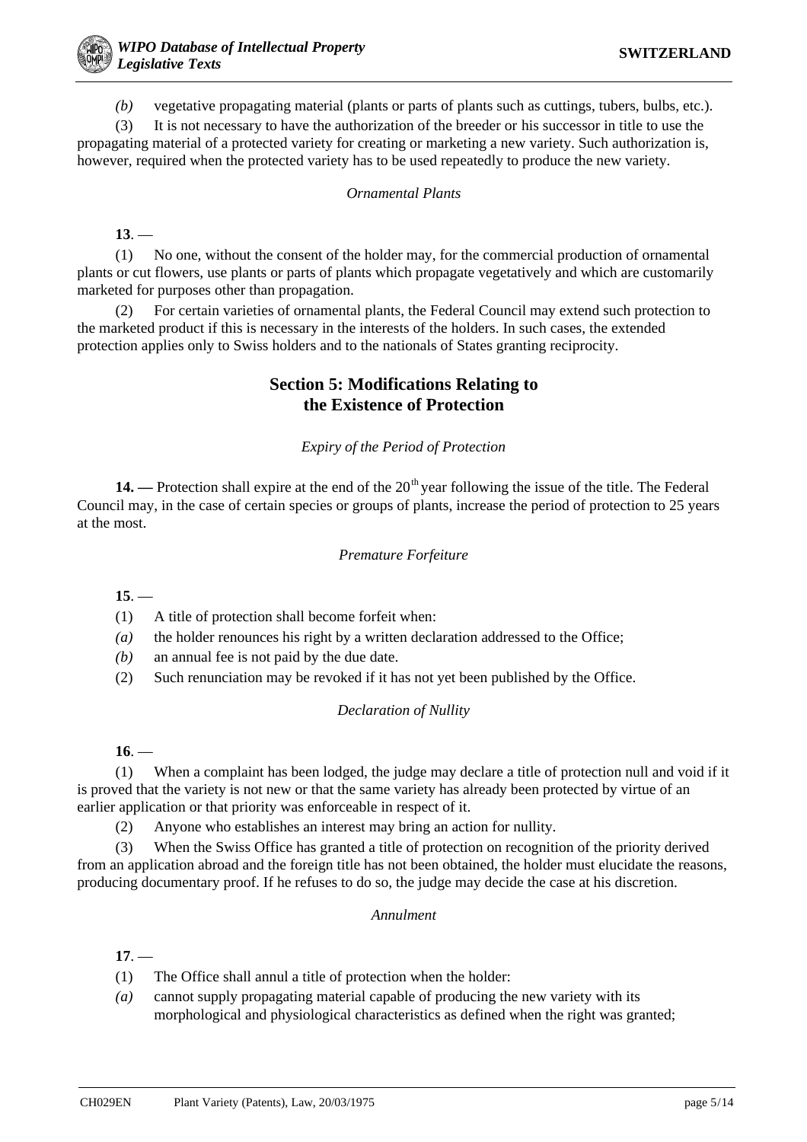*(b)* vegetative propagating material (plants or parts of plants such as cuttings, tubers, bulbs, etc.).

(3) It is not necessary to have the authorization of the breeder or his successor in title to use the propagating material of a protected variety for creating or marketing a new variety. Such authorization is, however, required when the protected variety has to be used repeatedly to produce the new variety.

# *Ornamental Plants*

**13**. —

(1) No one, without the consent of the holder may, for the commercial production of ornamental plants or cut flowers, use plants or parts of plants which propagate vegetatively and which are customarily marketed for purposes other than propagation.

(2) For certain varieties of ornamental plants, the Federal Council may extend such protection to the marketed product if this is necessary in the interests of the holders. In such cases, the extended protection applies only to Swiss holders and to the nationals of States granting reciprocity.

# **Section 5: Modifications Relating to the Existence of Protection**

*Expiry of the Period of Protection*

14. — Protection shall expire at the end of the 20<sup>th</sup> year following the issue of the title. The Federal Council may, in the case of certain species or groups of plants, increase the period of protection to 25 years at the most.

# *Premature Forfeiture*

**15**. —

(1) A title of protection shall become forfeit when:

*(a)* the holder renounces his right by a written declaration addressed to the Office;

*(b)* an annual fee is not paid by the due date.

(2) Such renunciation may be revoked if it has not yet been published by the Office.

# *Declaration of Nullity*

**16**. —

(1) When a complaint has been lodged, the judge may declare a title of protection null and void if it is proved that the variety is not new or that the same variety has already been protected by virtue of an earlier application or that priority was enforceable in respect of it.

(2) Anyone who establishes an interest may bring an action for nullity.

(3) When the Swiss Office has granted a title of protection on recognition of the priority derived from an application abroad and the foreign title has not been obtained, the holder must elucidate the reasons, producing documentary proof. If he refuses to do so, the judge may decide the case at his discretion.

# *Annulment*

**17**. —

- (1) The Office shall annul a title of protection when the holder:
- *(a)* cannot supply propagating material capable of producing the new variety with its morphological and physiological characteristics as defined when the right was granted;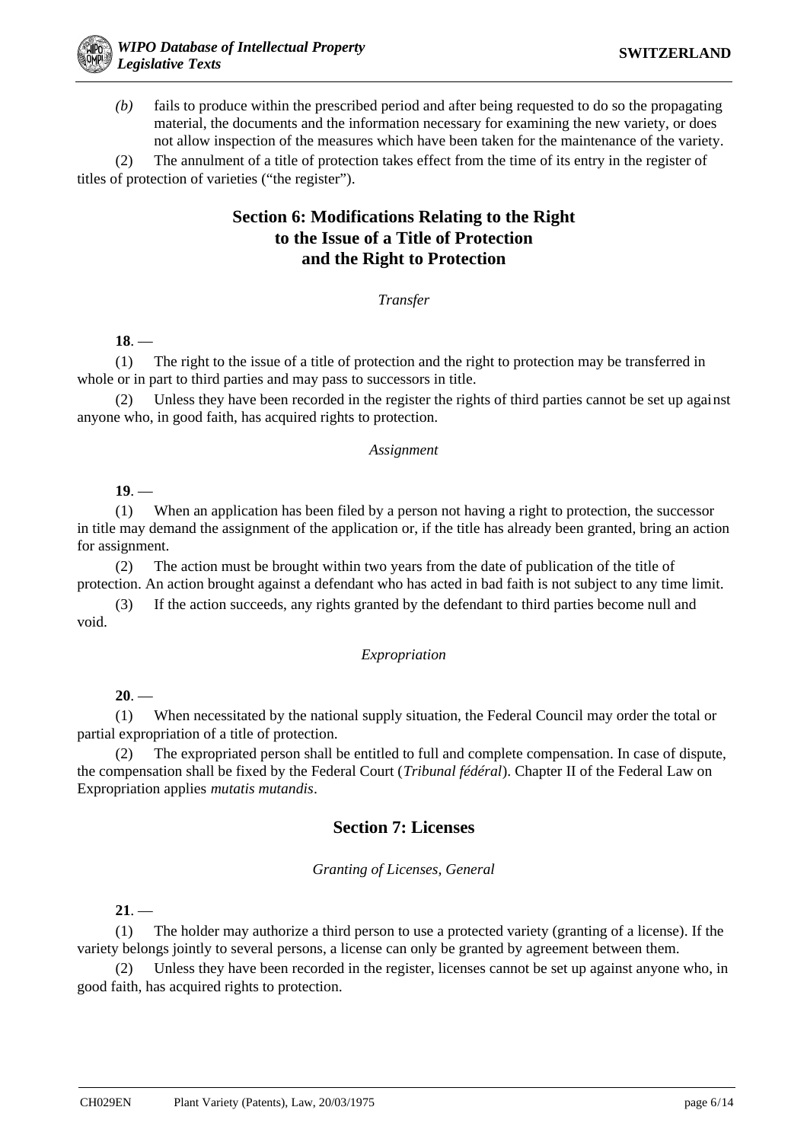*(b)* fails to produce within the prescribed period and after being requested to do so the propagating material, the documents and the information necessary for examining the new variety, or does not allow inspection of the measures which have been taken for the maintenance of the variety.

(2) The annulment of a title of protection takes effect from the time of its entry in the register of titles of protection of varieties ("the register").

# **Section 6: Modifications Relating to the Right to the Issue of a Title of Protection and the Right to Protection**

# *Transfer*

**18**. —

(1) The right to the issue of a title of protection and the right to protection may be transferred in whole or in part to third parties and may pass to successors in title.

(2) Unless they have been recorded in the register the rights of third parties cannot be set up against anyone who, in good faith, has acquired rights to protection.

# *Assignment*

**19**. —

(1) When an application has been filed by a person not having a right to protection, the successor in title may demand the assignment of the application or, if the title has already been granted, bring an action for assignment.

(2) The action must be brought within two years from the date of publication of the title of protection. An action brought against a defendant who has acted in bad faith is not subject to any time limit.

(3) If the action succeeds, any rights granted by the defendant to third parties become null and void.

# *Expropriation*

 $20.$ —

(1) When necessitated by the national supply situation, the Federal Council may order the total or partial expropriation of a title of protection.

The expropriated person shall be entitled to full and complete compensation. In case of dispute, the compensation shall be fixed by the Federal Court (*Tribunal fédéral*). Chapter II of the Federal Law on Expropriation applies *mutatis mutandis*.

# **Section 7: Licenses**

# *Granting of Licenses, General*

**21**. —

(1) The holder may authorize a third person to use a protected variety (granting of a license). If the variety belongs jointly to several persons, a license can only be granted by agreement between them.

(2) Unless they have been recorded in the register, licenses cannot be set up against anyone who, in good faith, has acquired rights to protection.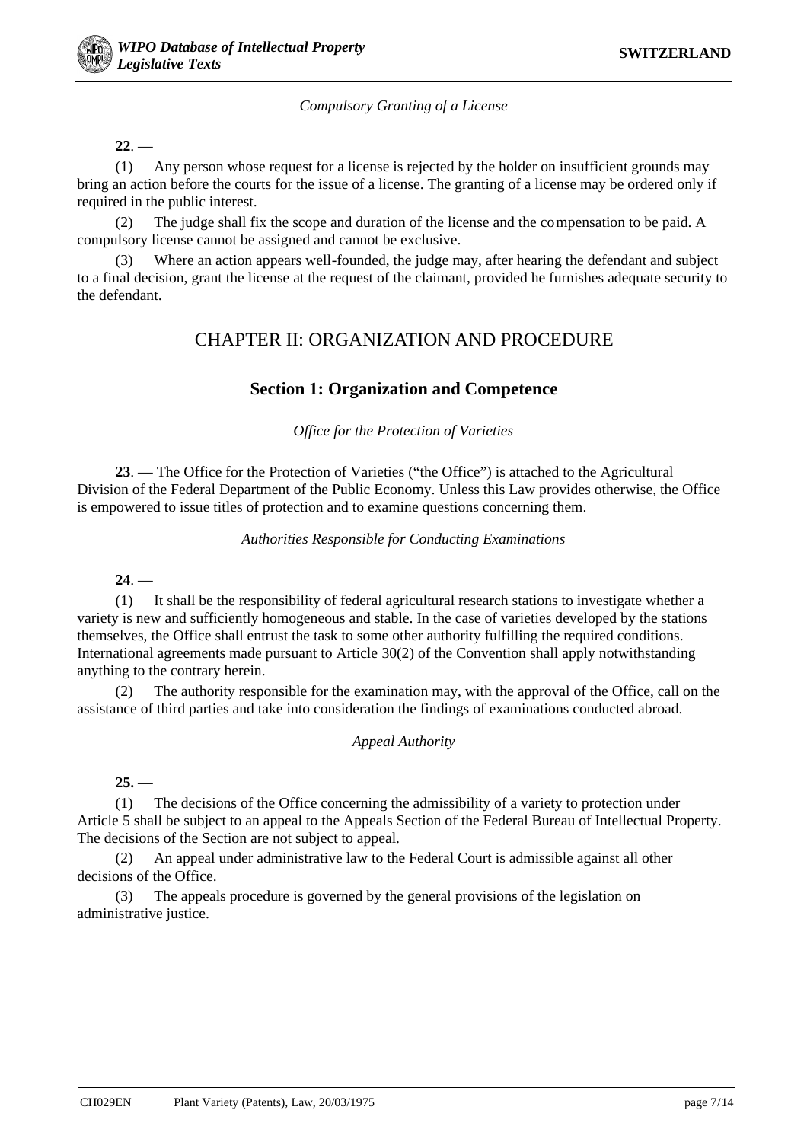*Compulsory Granting of a License*

 $22 -$ 

(1) Any person whose request for a license is rejected by the holder on insufficient grounds may bring an action before the courts for the issue of a license. The granting of a license may be ordered only if required in the public interest.

(2) The judge shall fix the scope and duration of the license and the compensation to be paid. A compulsory license cannot be assigned and cannot be exclusive.

(3) Where an action appears well-founded, the judge may, after hearing the defendant and subject to a final decision, grant the license at the request of the claimant, provided he furnishes adequate security to the defendant.

# CHAPTER II: ORGANIZATION AND PROCEDURE

# **Section 1: Organization and Competence**

*Office for the Protection of Varieties*

**23**. — The Office for the Protection of Varieties ("the Office") is attached to the Agricultural Division of the Federal Department of the Public Economy. Unless this Law provides otherwise, the Office is empowered to issue titles of protection and to examine questions concerning them.

# *Authorities Responsible for Conducting Examinations*

**24**. —

(1) It shall be the responsibility of federal agricultural research stations to investigate whether a variety is new and sufficiently homogeneous and stable. In the case of varieties developed by the stations themselves, the Office shall entrust the task to some other authority fulfilling the required conditions. International agreements made pursuant to Article 30(2) of the Convention shall apply notwithstanding anything to the contrary herein.

(2) The authority responsible for the examination may, with the approval of the Office, call on the assistance of third parties and take into consideration the findings of examinations conducted abroad.

# *Appeal Authority*

 $25.$ 

(1) The decisions of the Office concerning the admissibility of a variety to protection under Article 5 shall be subject to an appeal to the Appeals Section of the Federal Bureau of Intellectual Property. The decisions of the Section are not subject to appeal.

(2) An appeal under administrative law to the Federal Court is admissible against all other decisions of the Office.

(3) The appeals procedure is governed by the general provisions of the legislation on administrative justice.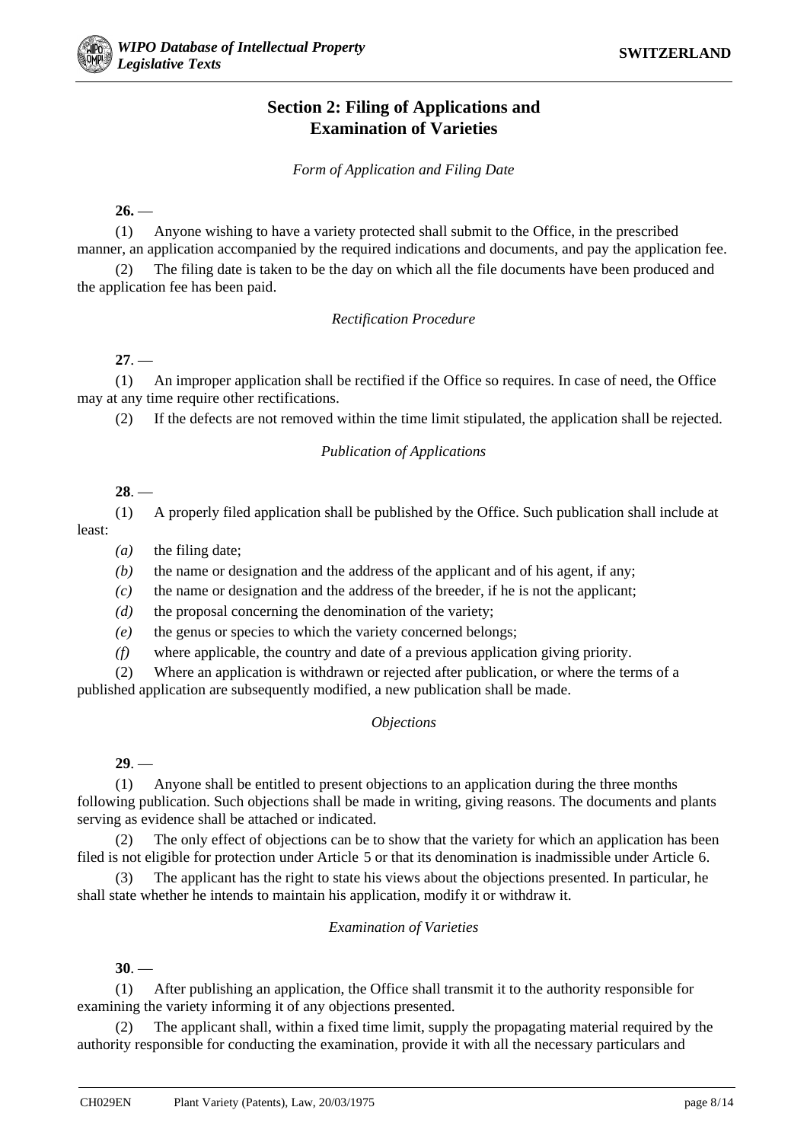# **Section 2: Filing of Applications and Examination of Varieties**

*Form of Application and Filing Date*

 $26.$ 

(1) Anyone wishing to have a variety protected shall submit to the Office, in the prescribed manner, an application accompanied by the required indications and documents, and pay the application fee.

(2) The filing date is taken to be the day on which all the file documents have been produced and the application fee has been paid.

# *Rectification Procedure*

**27**. —

(1) An improper application shall be rectified if the Office so requires. In case of need, the Office may at any time require other rectifications.

(2) If the defects are not removed within the time limit stipulated, the application shall be rejected.

# *Publication of Applications*

**28**. —

(1) A properly filed application shall be published by the Office. Such publication shall include at least:

*(a)* the filing date;

*(b)* the name or designation and the address of the applicant and of his agent, if any;

- *(c)* the name or designation and the address of the breeder, if he is not the applicant;
- *(d)* the proposal concerning the denomination of the variety;
- *(e)* the genus or species to which the variety concerned belongs;
- *(f)* where applicable, the country and date of a previous application giving priority.

(2) Where an application is withdrawn or rejected after publication, or where the terms of a published application are subsequently modified, a new publication shall be made.

# *Objections*

**29**. —

(1) Anyone shall be entitled to present objections to an application during the three months following publication. Such objections shall be made in writing, giving reasons. The documents and plants serving as evidence shall be attached or indicated.

(2) The only effect of objections can be to show that the variety for which an application has been filed is not eligible for protection under Article 5 or that its denomination is inadmissible under Article 6.

(3) The applicant has the right to state his views about the objections presented. In particular, he shall state whether he intends to maintain his application, modify it or withdraw it.

# *Examination of Varieties*

**30**. —

(1) After publishing an application, the Office shall transmit it to the authority responsible for examining the variety informing it of any objections presented.

The applicant shall, within a fixed time limit, supply the propagating material required by the authority responsible for conducting the examination, provide it with all the necessary particulars and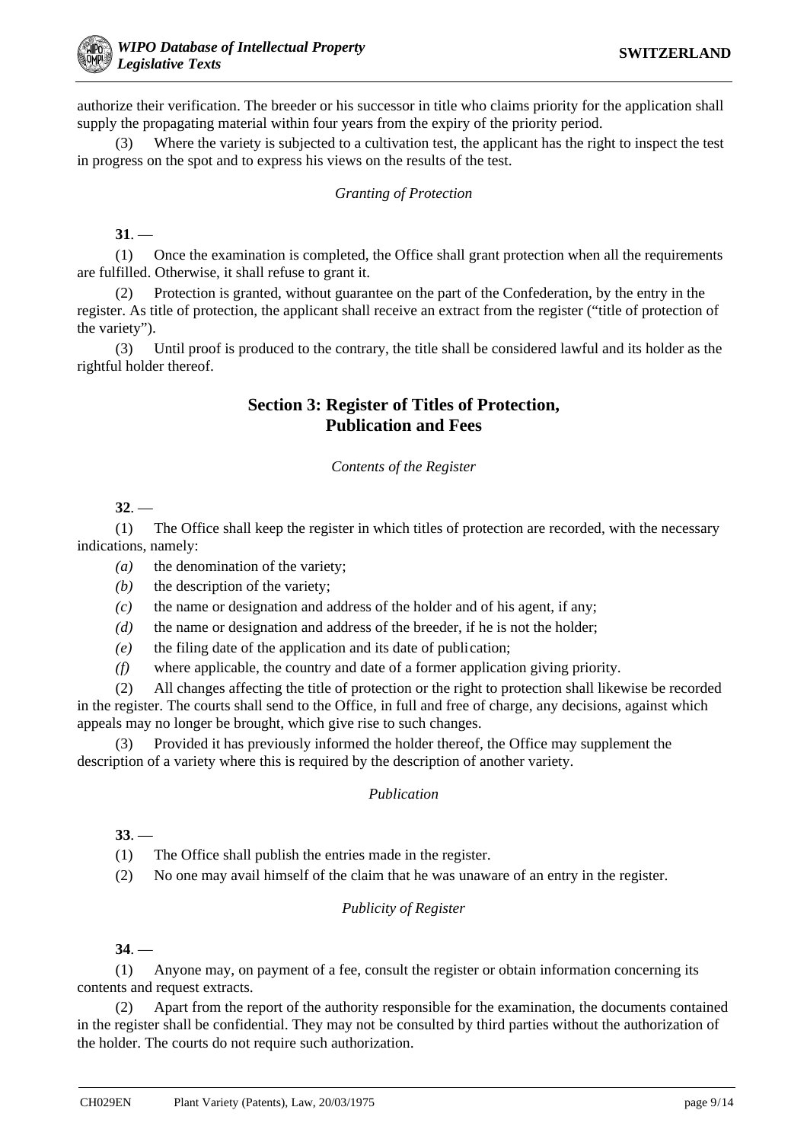authorize their verification. The breeder or his successor in title who claims priority for the application shall supply the propagating material within four years from the expiry of the priority period.

(3) Where the variety is subjected to a cultivation test, the applicant has the right to inspect the test in progress on the spot and to express his views on the results of the test.

# *Granting of Protection*

**31**. —

(1) Once the examination is completed, the Office shall grant protection when all the requirements are fulfilled. Otherwise, it shall refuse to grant it.

(2) Protection is granted, without guarantee on the part of the Confederation, by the entry in the register. As title of protection, the applicant shall receive an extract from the register ("title of protection of the variety").

(3) Until proof is produced to the contrary, the title shall be considered lawful and its holder as the rightful holder thereof.

# **Section 3: Register of Titles of Protection, Publication and Fees**

*Contents of the Register*

 $32 -$ 

(1) The Office shall keep the register in which titles of protection are recorded, with the necessary indications, namely:

*(a)* the denomination of the variety;

- *(b)* the description of the variety;
- *(c)* the name or designation and address of the holder and of his agent, if any;
- *(d)* the name or designation and address of the breeder, if he is not the holder;
- *(e)* the filing date of the application and its date of publication;
- *(f)* where applicable, the country and date of a former application giving priority.

(2) All changes affecting the title of protection or the right to protection shall likewise be recorded in the register. The courts shall send to the Office, in full and free of charge, any decisions, against which appeals may no longer be brought, which give rise to such changes.

(3) Provided it has previously informed the holder thereof, the Office may supplement the description of a variety where this is required by the description of another variety.

# *Publication*

**33**. —

(1) The Office shall publish the entries made in the register.

(2) No one may avail himself of the claim that he was unaware of an entry in the register.

# *Publicity of Register*

**34**. —

(1) Anyone may, on payment of a fee, consult the register or obtain information concerning its contents and request extracts.

(2) Apart from the report of the authority responsible for the examination, the documents contained in the register shall be confidential. They may not be consulted by third parties without the authorization of the holder. The courts do not require such authorization.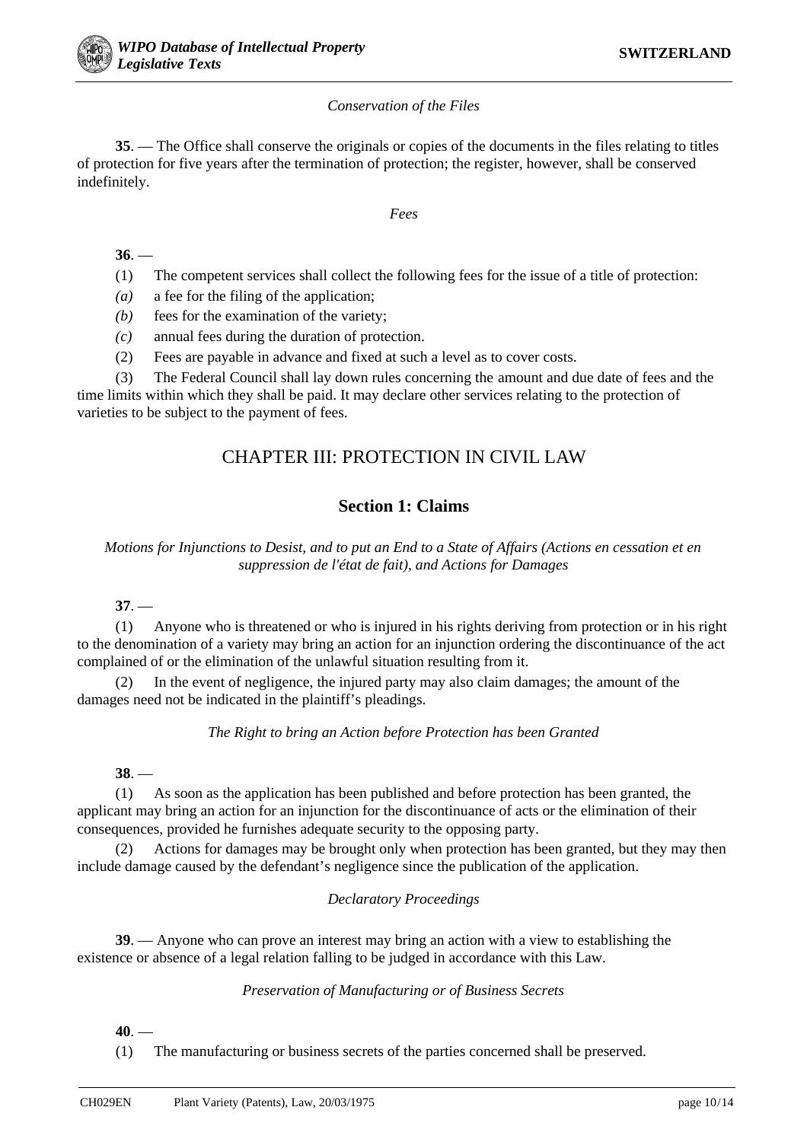# *Conservation of the Files*

**35**. — The Office shall conserve the originals or copies of the documents in the files relating to titles of protection for five years after the termination of protection; the register, however, shall be conserved indefinitely.

# *Fees*

**36**. —

- (1) The competent services shall collect the following fees for the issue of a title of protection:
- *(a)* a fee for the filing of the application;
- *(b)* fees for the examination of the variety;
- *(c)* annual fees during the duration of protection.
- (2) Fees are payable in advance and fixed at such a level as to cover costs.

(3) The Federal Council shall lay down rules concerning the amount and due date of fees and the time limits within which they shall be paid. It may declare other services relating to the protection of varieties to be subject to the payment of fees.

# CHAPTER III: PROTECTION IN CIVIL LAW

# **Section 1: Claims**

*Motions for Injunctions to Desist, and to put an End to a State of Affairs (Actions en cessation et en suppression de l'état de fait), and Actions for Damages*

**37**. —

(1) Anyone who is threatened or who is injured in his rights deriving from protection or in his right to the denomination of a variety may bring an action for an injunction ordering the discontinuance of the act complained of or the elimination of the unlawful situation resulting from it.

(2) In the event of negligence, the injured party may also claim damages; the amount of the damages need not be indicated in the plaintiff's pleadings.

# *The Right to bring an Action before Protection has been Granted*

# **38**. —

(1) As soon as the application has been published and before protection has been granted, the applicant may bring an action for an injunction for the discontinuance of acts or the elimination of their consequences, provided he furnishes adequate security to the opposing party.

(2) Actions for damages may be brought only when protection has been granted, but they may then include damage caused by the defendant's negligence since the publication of the application.

# *Declaratory Proceedings*

**39**. — Anyone who can prove an interest may bring an action with a view to establishing the existence or absence of a legal relation falling to be judged in accordance with this Law.

# *Preservation of Manufacturing or of Business Secrets*

**40**. —

(1) The manufacturing or business secrets of the parties concerned shall be preserved.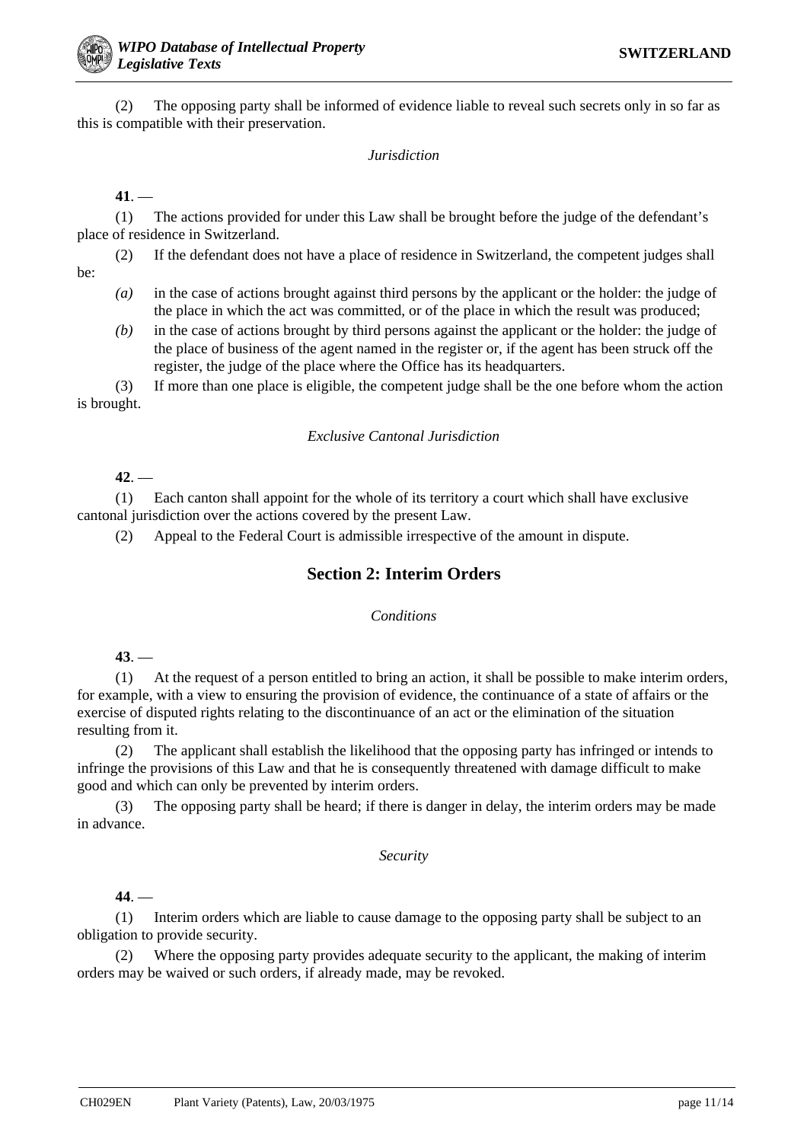(2) The opposing party shall be informed of evidence liable to reveal such secrets only in so far as this is compatible with their preservation.

#### *Jurisdiction*

**41**. —

(1) The actions provided for under this Law shall be brought before the judge of the defendant's place of residence in Switzerland.

(2) If the defendant does not have a place of residence in Switzerland, the competent judges shall be:

- *(a)* in the case of actions brought against third persons by the applicant or the holder: the judge of the place in which the act was committed, or of the place in which the result was produced;
- *(b)* in the case of actions brought by third persons against the applicant or the holder: the judge of the place of business of the agent named in the register or, if the agent has been struck off the register, the judge of the place where the Office has its headquarters.

(3) If more than one place is eligible, the competent judge shall be the one before whom the action is brought.

## *Exclusive Cantonal Jurisdiction*

**42**. —

(1) Each canton shall appoint for the whole of its territory a court which shall have exclusive cantonal jurisdiction over the actions covered by the present Law.

(2) Appeal to the Federal Court is admissible irrespective of the amount in dispute.

# **Section 2: Interim Orders**

#### *Conditions*

**43**. —

(1) At the request of a person entitled to bring an action, it shall be possible to make interim orders, for example, with a view to ensuring the provision of evidence, the continuance of a state of affairs or the exercise of disputed rights relating to the discontinuance of an act or the elimination of the situation resulting from it.

(2) The applicant shall establish the likelihood that the opposing party has infringed or intends to infringe the provisions of this Law and that he is consequently threatened with damage difficult to make good and which can only be prevented by interim orders.

(3) The opposing party shall be heard; if there is danger in delay, the interim orders may be made in advance.

#### *Security*

**44**. —

(1) Interim orders which are liable to cause damage to the opposing party shall be subject to an obligation to provide security.

(2) Where the opposing party provides adequate security to the applicant, the making of interim orders may be waived or such orders, if already made, may be revoked.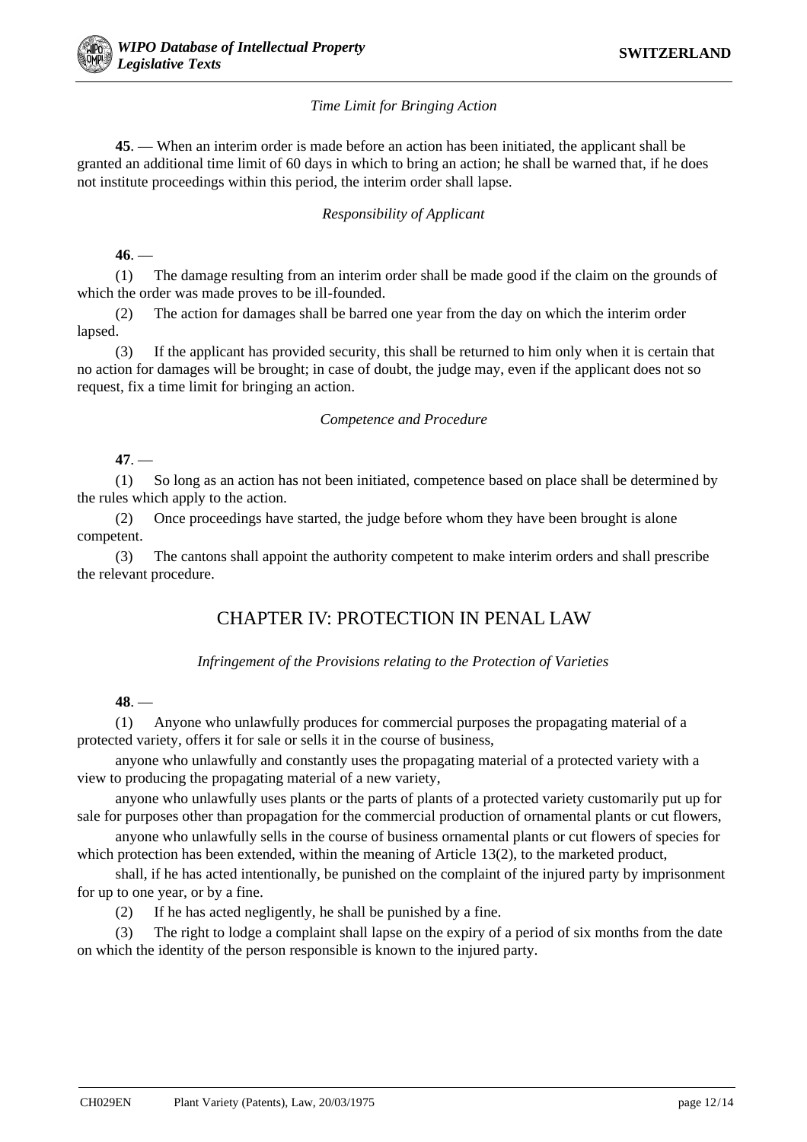# *Time Limit for Bringing Action*

**45**. — When an interim order is made before an action has been initiated, the applicant shall be granted an additional time limit of 60 days in which to bring an action; he shall be warned that, if he does not institute proceedings within this period, the interim order shall lapse.

# *Responsibility of Applicant*

# **46**. —

(1) The damage resulting from an interim order shall be made good if the claim on the grounds of which the order was made proves to be ill-founded.

(2) The action for damages shall be barred one year from the day on which the interim order lapsed.

(3) If the applicant has provided security, this shall be returned to him only when it is certain that no action for damages will be brought; in case of doubt, the judge may, even if the applicant does not so request, fix a time limit for bringing an action.

#### *Competence and Procedure*

# **47**. —

(1) So long as an action has not been initiated, competence based on place shall be determined by the rules which apply to the action.

(2) Once proceedings have started, the judge before whom they have been brought is alone competent.

(3) The cantons shall appoint the authority competent to make interim orders and shall prescribe the relevant procedure.

# CHAPTER IV: PROTECTION IN PENAL LAW

# *Infringement of the Provisions relating to the Protection of Varieties*

# **48**. —

(1) Anyone who unlawfully produces for commercial purposes the propagating material of a protected variety, offers it for sale or sells it in the course of business,

anyone who unlawfully and constantly uses the propagating material of a protected variety with a view to producing the propagating material of a new variety,

anyone who unlawfully uses plants or the parts of plants of a protected variety customarily put up for sale for purposes other than propagation for the commercial production of ornamental plants or cut flowers,

anyone who unlawfully sells in the course of business ornamental plants or cut flowers of species for which protection has been extended, within the meaning of Article 13(2), to the marketed product,

shall, if he has acted intentionally, be punished on the complaint of the injured party by imprisonment for up to one year, or by a fine.

(2) If he has acted negligently, he shall be punished by a fine.

(3) The right to lodge a complaint shall lapse on the expiry of a period of six months from the date on which the identity of the person responsible is known to the injured party.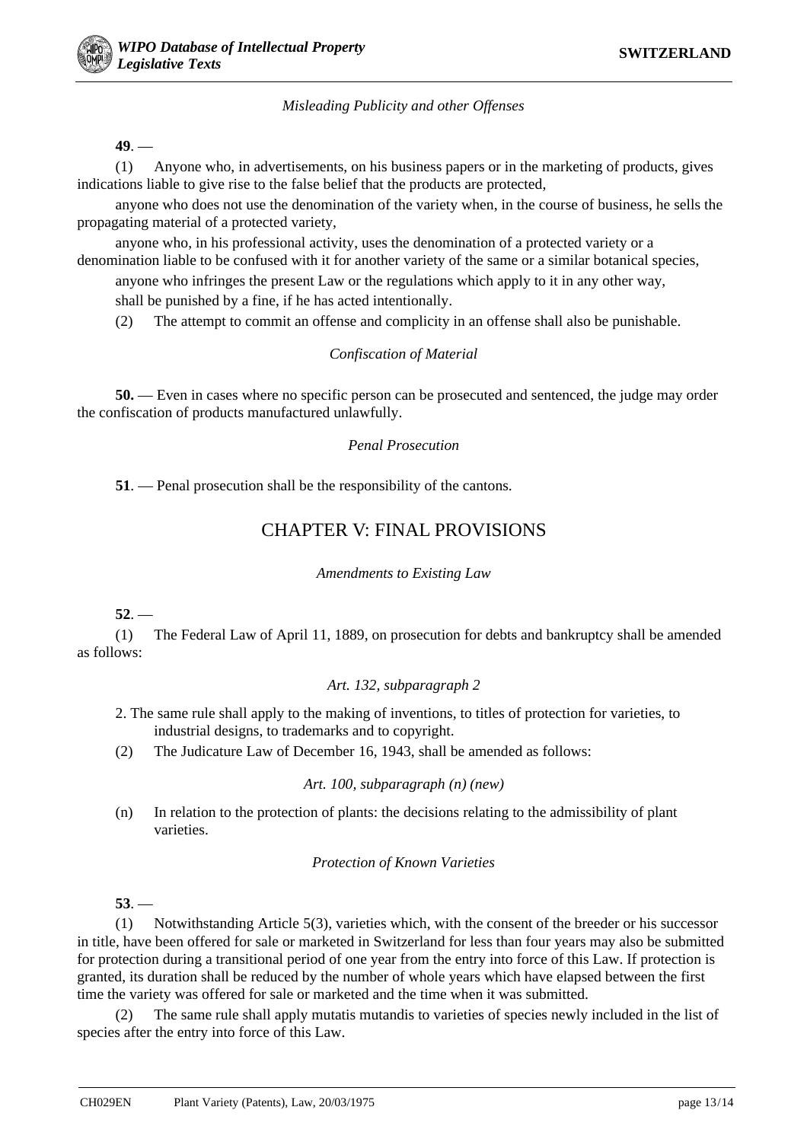# *Misleading Publicity and other Offenses*

**49**. —

(1) Anyone who, in advertisements, on his business papers or in the marketing of products, gives indications liable to give rise to the false belief that the products are protected,

anyone who does not use the denomination of the variety when, in the course of business, he sells the propagating material of a protected variety,

anyone who, in his professional activity, uses the denomination of a protected variety or a denomination liable to be confused with it for another variety of the same or a similar botanical species,

anyone who infringes the present Law or the regulations which apply to it in any other way,

shall be punished by a fine, if he has acted intentionally.

(2) The attempt to commit an offense and complicity in an offense shall also be punishable.

# *Confiscation of Material*

**50.** — Even in cases where no specific person can be prosecuted and sentenced, the judge may order the confiscation of products manufactured unlawfully.

# *Penal Prosecution*

**51**. — Penal prosecution shall be the responsibility of the cantons.

# CHAPTER V: FINAL PROVISIONS

# *Amendments to Existing Law*

# **52**. —

(1) The Federal Law of April 11, 1889, on prosecution for debts and bankruptcy shall be amended as follows:

# *Art. 132, subparagraph 2*

- 2. The same rule shall apply to the making of inventions, to titles of protection for varieties, to industrial designs, to trademarks and to copyright.
- (2) The Judicature Law of December 16, 1943, shall be amended as follows:

# *Art. 100, subparagraph (n) (new)*

(n) In relation to the protection of plants: the decisions relating to the admissibility of plant varieties.

# *Protection of Known Varieties*

# **53**. —

(1) Notwithstanding Article 5(3), varieties which, with the consent of the breeder or his successor in title, have been offered for sale or marketed in Switzerland for less than four years may also be submitted for protection during a transitional period of one year from the entry into force of this Law. If protection is granted, its duration shall be reduced by the number of whole years which have elapsed between the first time the variety was offered for sale or marketed and the time when it was submitted.

(2) The same rule shall apply mutatis mutandis to varieties of species newly included in the list of species after the entry into force of this Law.